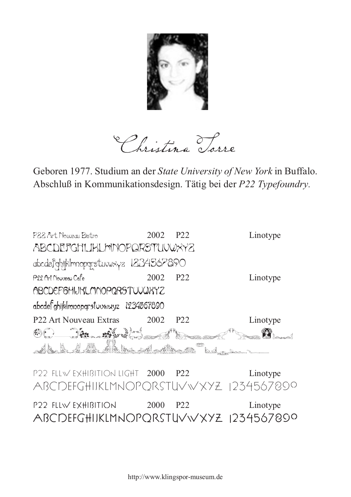

Christina Torre

Geboren 1977. Studium an der *State University of New York* in Buffalo. Abschluß in Kommunikationsdesign. Tätig bei der *P22 Typefoundry.*

| Linotype                                         |
|--------------------------------------------------|
|                                                  |
|                                                  |
| Linotype                                         |
|                                                  |
|                                                  |
| Linotype<br>ABCDEFGHIKLMNOPQRSTUVWXYZ 1234567899 |
|                                                  |

P22 FLLW Exhibition 2000 P22 Linotype ABCDEFGHIJKLMNOPQRSTUVWXYZ 1234567890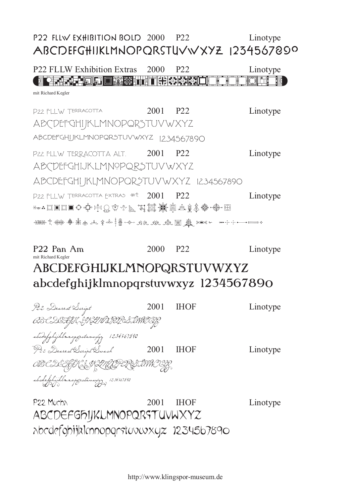## **P22 FLLW Exhibition Bold** 2000 P22 Linotype **ABCDEFGHIJKLMNOPQRSTUVWXYZ 1234567890**

P22 FLLW Exhibition Extras mit Richard Kegler P22 FLLW Terracotta P22 FLLW Terracotta Alt. P22 FLLW TERRACOTTA EXTRAS  $**$  2001 P22 P22 P22 P22 2000 2001 2001 Linotype Linotype Linotype Linotype **Oppung Abcordefghali katalik katalik katalik katalik katalik katalik katalik katalik katalik katalik katalik k**a ABCDEFGHIJKLMNOPQRSTUVWXYZ abcdefghijklmnopqrstuvwxyz 1234567890 ABCDEFGHIJKLMNOPQRSTUVWXYZ abcdefghijklmnopqrstuvwxyz 1234567890 ABCDEFGGHAD ALCHKLAGEDIELA 49864米泰永西北拿哈·纳瓦·哈·维尼·哈·普尔东部

## P22 Pan Am mit Richard Kegler P22 2000 Linotype ABCDEFGHIJKLMNOPQRSTUVWXYZ abcdefghijklmnopqrstuvwxyz 1234567890

| P22 Dearest Script                    | 2001 | <b>IHOF</b> | Linotype |
|---------------------------------------|------|-------------|----------|
| OB CDEFYHIJKLIVI IPLRSTUWICIJZ        |      |             |          |
| abcdefghijklmnopgrstanwýg 1234567890  |      |             |          |
| 922 Dearest Script Swash              | 2001 | <b>IHOF</b> | Linotype |
| OB CDSGGH ISKUGD RØSWWISG             |      |             |          |
| abedefghijklmnapgestanwyg, 1234367890 |      |             |          |
| P22 Mucha                             | 2001 | <b>IHOF</b> | Linotype |

ABCDEFGHIJKLMNOPQRSTUVWXYZ abcdefghijklmnopqrstuvwxyz 1234567890